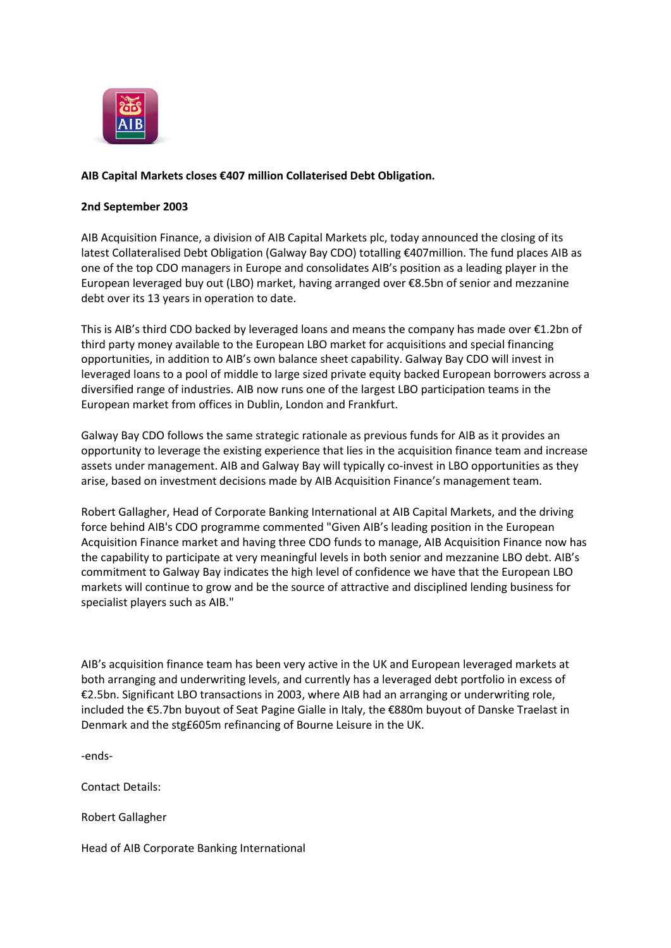

## **AIB Capital Markets closes €407 million Collaterised Debt Obligation.**

## **2nd September 2003**

AIB Acquisition Finance, a division of AIB Capital Markets plc, today announced the closing of its latest Collateralised Debt Obligation (Galway Bay CDO) totalling €407million. The fund places AIB as one of the top CDO managers in Europe and consolidates AIB's position as a leading player in the European leveraged buy out (LBO) market, having arranged over €8.5bn of senior and mezzanine debt over its 13 years in operation to date.

This is AIB's third CDO backed by leveraged loans and means the company has made over €1.2bn of third party money available to the European LBO market for acquisitions and special financing opportunities, in addition to AIB's own balance sheet capability. Galway Bay CDO will invest in leveraged loans to a pool of middle to large sized private equity backed European borrowers across a diversified range of industries. AIB now runs one of the largest LBO participation teams in the European market from offices in Dublin, London and Frankfurt.

Galway Bay CDO follows the same strategic rationale as previous funds for AIB as it provides an opportunity to leverage the existing experience that lies in the acquisition finance team and increase assets under management. AIB and Galway Bay will typically co-invest in LBO opportunities as they arise, based on investment decisions made by AIB Acquisition Finance's management team.

Robert Gallagher, Head of Corporate Banking International at AIB Capital Markets, and the driving force behind AIB's CDO programme commented "Given AIB's leading position in the European Acquisition Finance market and having three CDO funds to manage, AIB Acquisition Finance now has the capability to participate at very meaningful levels in both senior and mezzanine LBO debt. AIB's commitment to Galway Bay indicates the high level of confidence we have that the European LBO markets will continue to grow and be the source of attractive and disciplined lending business for specialist players such as AIB."

AIB's acquisition finance team has been very active in the UK and European leveraged markets at both arranging and underwriting levels, and currently has a leveraged debt portfolio in excess of €2.5bn. Significant LBO transactions in 2003, where AIB had an arranging or underwriting role, included the €5.7bn buyout of Seat Pagine Gialle in Italy, the €880m buyout of Danske Traelast in Denmark and the stg£605m refinancing of Bourne Leisure in the UK.

-ends-

Contact Details:

Robert Gallagher

Head of AIB Corporate Banking International